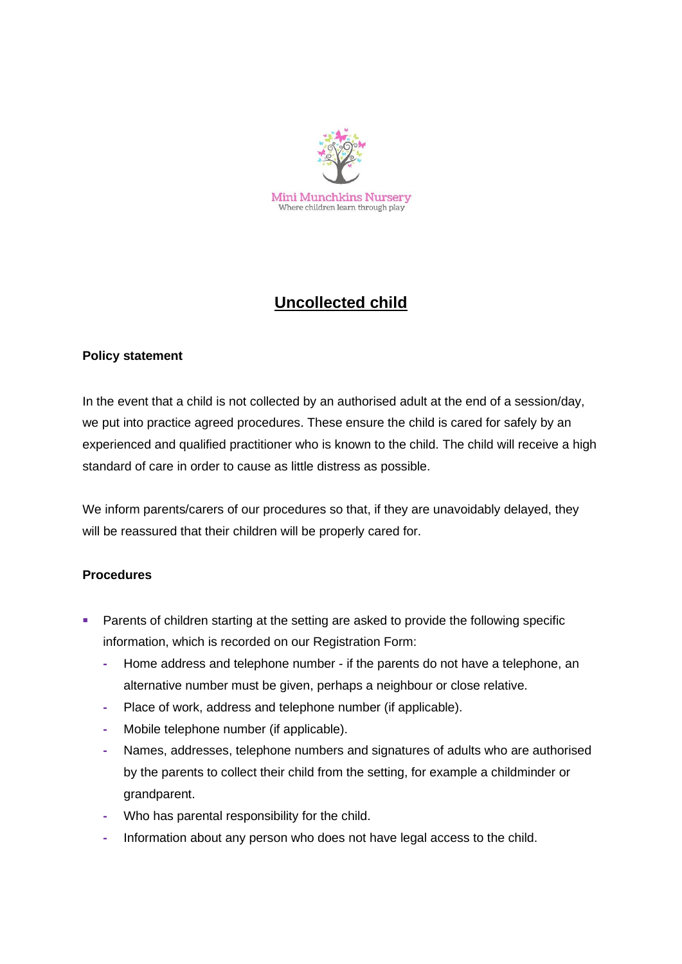

## **Uncollected child**

### **Policy statement**

In the event that a child is not collected by an authorised adult at the end of a session/day, we put into practice agreed procedures. These ensure the child is cared for safely by an experienced and qualified practitioner who is known to the child. The child will receive a high standard of care in order to cause as little distress as possible.

We inform parents/carers of our procedures so that, if they are unavoidably delayed, they will be reassured that their children will be properly cared for.

### **Procedures**

- Parents of children starting at the setting are asked to provide the following specific information, which is recorded on our Registration Form:
	- **-** Home address and telephone number if the parents do not have a telephone, an alternative number must be given, perhaps a neighbour or close relative.
	- **-** Place of work, address and telephone number (if applicable).
	- **-** Mobile telephone number (if applicable).
	- **-** Names, addresses, telephone numbers and signatures of adults who are authorised by the parents to collect their child from the setting, for example a childminder or grandparent.
	- **-** Who has parental responsibility for the child.
	- **-** Information about any person who does not have legal access to the child.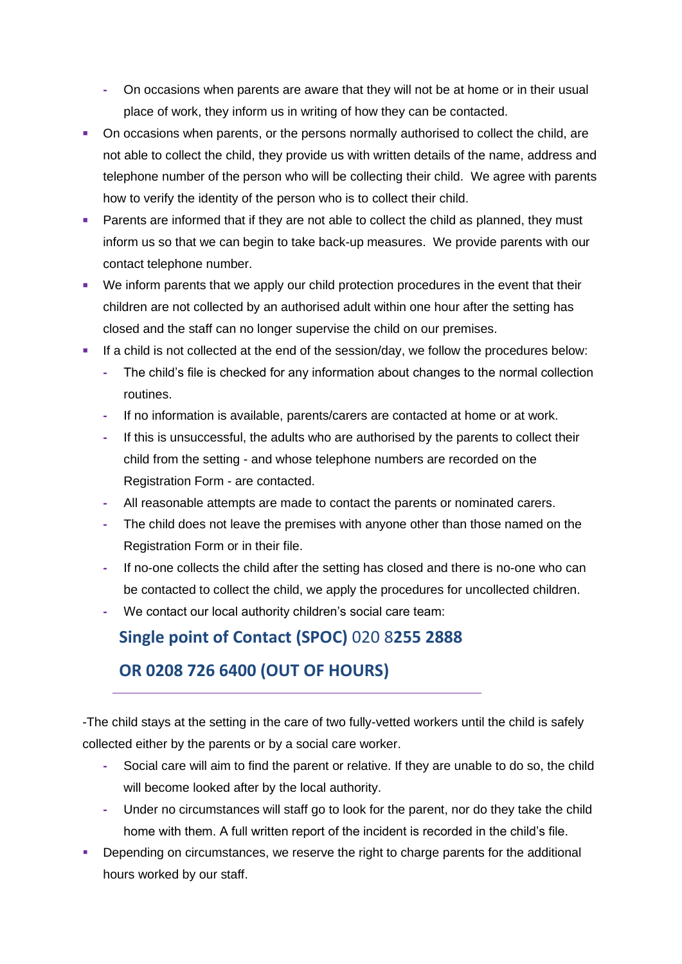- **-** On occasions when parents are aware that they will not be at home or in their usual place of work, they inform us in writing of how they can be contacted.
- On occasions when parents, or the persons normally authorised to collect the child, are not able to collect the child, they provide us with written details of the name, address and telephone number of the person who will be collecting their child. We agree with parents how to verify the identity of the person who is to collect their child.
- Parents are informed that if they are not able to collect the child as planned, they must inform us so that we can begin to take back-up measures. We provide parents with our contact telephone number.
- We inform parents that we apply our child protection procedures in the event that their children are not collected by an authorised adult within one hour after the setting has closed and the staff can no longer supervise the child on our premises.
- If a child is not collected at the end of the session/day, we follow the procedures below:
	- **-** The child's file is checked for any information about changes to the normal collection routines.
	- **-** If no information is available, parents/carers are contacted at home or at work.
	- **-** If this is unsuccessful, the adults who are authorised by the parents to collect their child from the setting - and whose telephone numbers are recorded on the Registration Form - are contacted.
	- **-** All reasonable attempts are made to contact the parents or nominated carers.
	- **-** The child does not leave the premises with anyone other than those named on the Registration Form or in their file.
	- **-** If no-one collects the child after the setting has closed and there is no-one who can be contacted to collect the child, we apply the procedures for uncollected children.
	- **-** We contact our local authority children's social care team:

## **Single point of Contact (SPOC)** 020 8**255 2888**

## **OR 0208 726 6400 (OUT OF HOURS)**

-The child stays at the setting in the care of two fully-vetted workers until the child is safely collected either by the parents or by a social care worker.

- **-** Social care will aim to find the parent or relative. If they are unable to do so, the child will become looked after by the local authority.
- **-** Under no circumstances will staff go to look for the parent, nor do they take the child home with them. A full written report of the incident is recorded in the child's file.
- **•** Depending on circumstances, we reserve the right to charge parents for the additional hours worked by our staff.